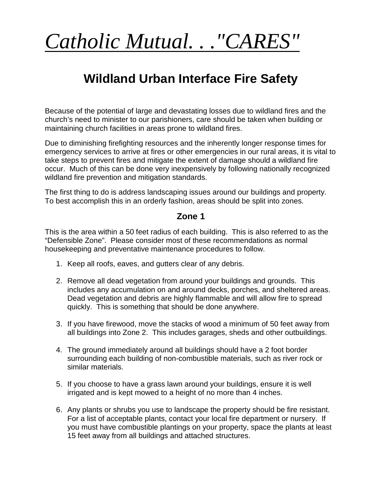# *Catholic Mutual. . ."CARES"*

## **Wildland Urban Interface Fire Safety**

Because of the potential of large and devastating losses due to wildland fires and the church's need to minister to our parishioners, care should be taken when building or maintaining church facilities in areas prone to wildland fires.

Due to diminishing firefighting resources and the inherently longer response times for emergency services to arrive at fires or other emergencies in our rural areas, it is vital to take steps to prevent fires and mitigate the extent of damage should a wildland fire occur. Much of this can be done very inexpensively by following nationally recognized wildland fire prevention and mitigation standards.

The first thing to do is address landscaping issues around our buildings and property. To best accomplish this in an orderly fashion, areas should be split into zones.

#### **Zone 1**

This is the area within a 50 feet radius of each building. This is also referred to as the "Defensible Zone". Please consider most of these recommendations as normal housekeeping and preventative maintenance procedures to follow.

- 1. Keep all roofs, eaves, and gutters clear of any debris.
- 2. Remove all dead vegetation from around your buildings and grounds. This includes any accumulation on and around decks, porches, and sheltered areas. Dead vegetation and debris are highly flammable and will allow fire to spread quickly. This is something that should be done anywhere.
- 3. If you have firewood, move the stacks of wood a minimum of 50 feet away from all buildings into Zone 2. This includes garages, sheds and other outbuildings.
- 4. The ground immediately around all buildings should have a 2 foot border surrounding each building of non-combustible materials, such as river rock or similar materials.
- 5. If you choose to have a grass lawn around your buildings, ensure it is well irrigated and is kept mowed to a height of no more than 4 inches.
- 6. Any plants or shrubs you use to landscape the property should be fire resistant. For a list of acceptable plants, contact your local fire department or nursery. If you must have combustible plantings on your property, space the plants at least 15 feet away from all buildings and attached structures.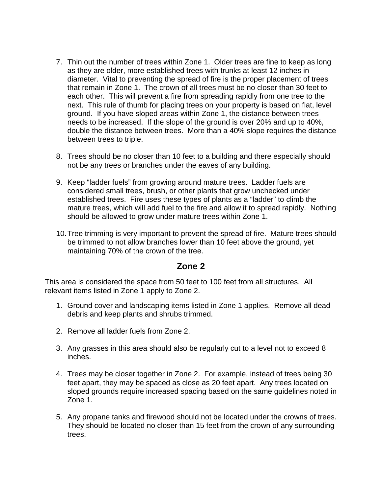- 7. Thin out the number of trees within Zone 1. Older trees are fine to keep as long as they are older, more established trees with trunks at least 12 inches in diameter. Vital to preventing the spread of fire is the proper placement of trees that remain in Zone 1. The crown of all trees must be no closer than 30 feet to each other. This will prevent a fire from spreading rapidly from one tree to the next. This rule of thumb for placing trees on your property is based on flat, level ground. If you have sloped areas within Zone 1, the distance between trees needs to be increased. If the slope of the ground is over 20% and up to 40%, double the distance between trees. More than a 40% slope requires the distance between trees to triple.
- 8. Trees should be no closer than 10 feet to a building and there especially should not be any trees or branches under the eaves of any building.
- 9. Keep "ladder fuels" from growing around mature trees. Ladder fuels are considered small trees, brush, or other plants that grow unchecked under established trees. Fire uses these types of plants as a "ladder" to climb the mature trees, which will add fuel to the fire and allow it to spread rapidly. Nothing should be allowed to grow under mature trees within Zone 1.
- 10.Tree trimming is very important to prevent the spread of fire. Mature trees should be trimmed to not allow branches lower than 10 feet above the ground, yet maintaining 70% of the crown of the tree.

#### **Zone 2**

This area is considered the space from 50 feet to 100 feet from all structures. All relevant items listed in Zone 1 apply to Zone 2.

- 1. Ground cover and landscaping items listed in Zone 1 applies. Remove all dead debris and keep plants and shrubs trimmed.
- 2. Remove all ladder fuels from Zone 2.
- 3. Any grasses in this area should also be regularly cut to a level not to exceed 8 inches.
- 4. Trees may be closer together in Zone 2. For example, instead of trees being 30 feet apart, they may be spaced as close as 20 feet apart. Any trees located on sloped grounds require increased spacing based on the same guidelines noted in Zone 1.
- 5. Any propane tanks and firewood should not be located under the crowns of trees. They should be located no closer than 15 feet from the crown of any surrounding trees.